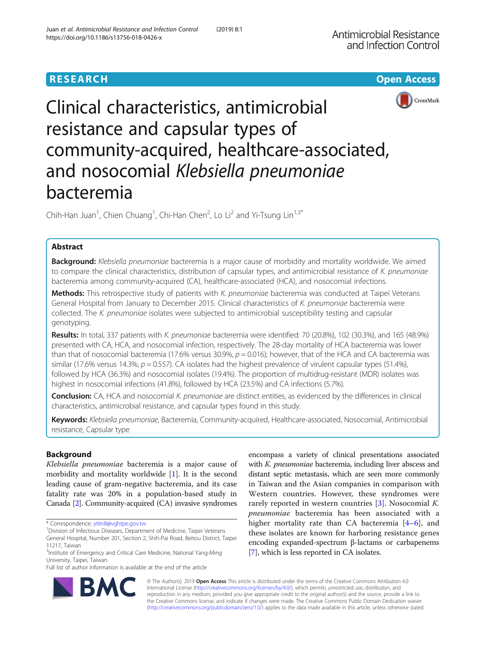



# Clinical characteristics, antimicrobial resistance and capsular types of community-acquired, healthcare-associated, and nosocomial Klebsiella pneumoniae bacteremia

Chih-Han Juan<sup>1</sup>, Chien Chuang<sup>1</sup>, Chi-Han Chen<sup>2</sup>, Lo Li<sup>2</sup> and Yi-Tsung Lin<sup>1,3\*</sup>

# Abstract

Background: Klebsiella pneumoniae bacteremia is a major cause of morbidity and mortality worldwide. We aimed to compare the clinical characteristics, distribution of capsular types, and antimicrobial resistance of K. pneumoniae bacteremia among community-acquired (CA), healthcare-associated (HCA), and nosocomial infections.

Methods: This retrospective study of patients with K. pneumoniae bacteremia was conducted at Taipei Veterans General Hospital from January to December 2015. Clinical characteristics of K. pneumoniae bacteremia were collected. The K. pneumoniae isolates were subjected to antimicrobial susceptibility testing and capsular genotyping.

Results: In total, 337 patients with K. pneumoniae bacteremia were identified: 70 (20.8%), 102 (30.3%), and 165 (48.9%) presented with CA, HCA, and nosocomial infection, respectively. The 28-day mortality of HCA bacteremia was lower than that of nosocomial bacteremia (17.6% versus 30.9%,  $p = 0.016$ ); however, that of the HCA and CA bacteremia was similar (17.6% versus 14.3%,  $p = 0.557$ ). CA isolates had the highest prevalence of virulent capsular types (51.4%), followed by HCA (36.3%) and nosocomial isolates (19.4%). The proportion of multidrug-resistant (MDR) isolates was highest in nosocomial infections (41.8%), followed by HCA (23.5%) and CA infections (5.7%).

Conclusion: CA, HCA and nosocomial K. pneumoniae are distinct entities, as evidenced by the differences in clinical characteristics, antimicrobial resistance, and capsular types found in this study.

Keywords: Klebsiella pneumoniae, Bacteremia, Community-acquired, Healthcare-associated, Nosocomial, Antimicrobial resistance, Capsular type

# Background

Klebsiella pneumoniae bacteremia is a major cause of morbidity and mortality worldwide [\[1](#page-7-0)]. It is the second leading cause of gram-negative bacteremia, and its case fatality rate was 20% in a population-based study in Canada [\[2\]](#page-7-0). Community-acquired (CA) invasive syndromes

encompass a variety of clinical presentations associated with K. pneumoniae bacteremia, including liver abscess and distant septic metastasis, which are seen more commonly in Taiwan and the Asian companies in comparison with Western countries. However, these syndromes were rarely reported in western countries  $[3]$  $[3]$  $[3]$ . Nosocomial K. pneumoniae bacteremia has been associated with a higher mortality rate than CA bacteremia [[4](#page-7-0)–[6\]](#page-7-0), and these isolates are known for harboring resistance genes encoding expanded-spectrum β-lactams or carbapenems [[7\]](#page-7-0), which is less reported in CA isolates.



© The Author(s). 2019 **Open Access** This article is distributed under the terms of the Creative Commons Attribution 4.0 International License [\(http://creativecommons.org/licenses/by/4.0/](http://creativecommons.org/licenses/by/4.0/)), which permits unrestricted use, distribution, and reproduction in any medium, provided you give appropriate credit to the original author(s) and the source, provide a link to the Creative Commons license, and indicate if changes were made. The Creative Commons Public Domain Dedication waiver [\(http://creativecommons.org/publicdomain/zero/1.0/](http://creativecommons.org/publicdomain/zero/1.0/)) applies to the data made available in this article, unless otherwise stated.

<sup>\*</sup> Correspondence: [ytlin8@vghtpe.gov.tw](mailto:ytlin8@vghtpe.gov.tw) <sup>1</sup>

<sup>&</sup>lt;sup>1</sup> Division of Infectious Diseases, Department of Medicine, Taipei Veterans

General Hospital, Number 201, Section 2, Shih-Pai Road, Beitou District, Taipei 11217, Taiwan

<sup>&</sup>lt;sup>3</sup>Institute of Emergency and Critical Care Medicine, National Yang-Ming University, Taipei, Taiwan

Full list of author information is available at the end of the article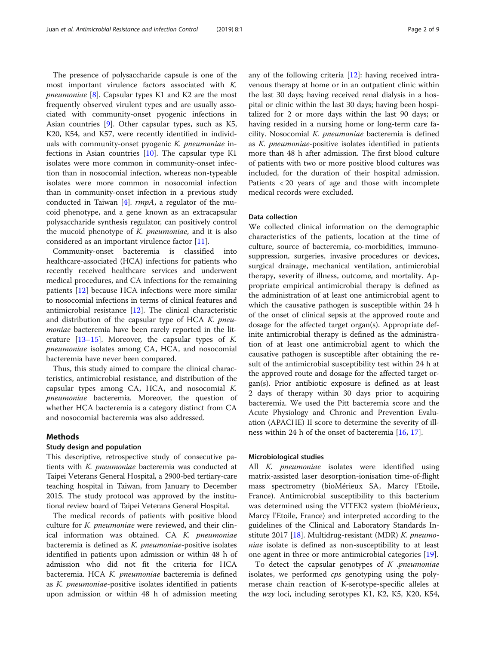The presence of polysaccharide capsule is one of the most important virulence factors associated with K. *pneumoniae* [\[8](#page-7-0)]. Capsular types K1 and K2 are the most frequently observed virulent types and are usually associated with community-onset pyogenic infections in Asian countries [\[9](#page-7-0)]. Other capsular types, such as K5, K20, K54, and K57, were recently identified in individuals with community-onset pyogenic K. pneumoniae infections in Asian countries  $[10]$  $[10]$ . The capsular type K1 isolates were more common in community-onset infection than in nosocomial infection, whereas non-typeable isolates were more common in nosocomial infection than in community-onset infection in a previous study conducted in Taiwan  $[4]$  $[4]$  $[4]$ .  $rmpA$ , a regulator of the mucoid phenotype, and a gene known as an extracapsular polysaccharide synthesis regulator, can positively control the mucoid phenotype of  $K$ . *pneumoniae*, and it is also considered as an important virulence factor [[11](#page-7-0)].

Community-onset bacteremia is classified into healthcare-associated (HCA) infections for patients who recently received healthcare services and underwent medical procedures, and CA infections for the remaining patients [[12](#page-7-0)] because HCA infections were more similar to nosocomial infections in terms of clinical features and antimicrobial resistance [[12\]](#page-7-0). The clinical characteristic and distribution of the capsular type of HCA  $K$ . pneumoniae bacteremia have been rarely reported in the literature  $[13-15]$  $[13-15]$  $[13-15]$ . Moreover, the capsular types of K. pneumoniae isolates among CA, HCA, and nosocomial bacteremia have never been compared.

Thus, this study aimed to compare the clinical characteristics, antimicrobial resistance, and distribution of the capsular types among CA, HCA, and nosocomial K. pneumoniae bacteremia. Moreover, the question of whether HCA bacteremia is a category distinct from CA and nosocomial bacteremia was also addressed.

# Methods

# Study design and population

This descriptive, retrospective study of consecutive patients with K. pneumoniae bacteremia was conducted at Taipei Veterans General Hospital, a 2900-bed tertiary-care teaching hospital in Taiwan, from January to December 2015. The study protocol was approved by the institutional review board of Taipei Veterans General Hospital.

The medical records of patients with positive blood culture for K. pneumoniae were reviewed, and their clinical information was obtained. CA K. pneumoniae bacteremia is defined as K. pneumoniae-positive isolates identified in patients upon admission or within 48 h of admission who did not fit the criteria for HCA bacteremia. HCA K. pneumoniae bacteremia is defined as K. pneumoniae-positive isolates identified in patients upon admission or within 48 h of admission meeting any of the following criteria [[12\]](#page-7-0): having received intravenous therapy at home or in an outpatient clinic within the last 30 days; having received renal dialysis in a hospital or clinic within the last 30 days; having been hospitalized for 2 or more days within the last 90 days; or having resided in a nursing home or long-term care facility. Nosocomial K. pneumoniae bacteremia is defined as K. pneumoniae-positive isolates identified in patients more than 48 h after admission. The first blood culture of patients with two or more positive blood cultures was included, for the duration of their hospital admission. Patients < 20 years of age and those with incomplete medical records were excluded.

# Data collection

We collected clinical information on the demographic characteristics of the patients, location at the time of culture, source of bacteremia, co-morbidities, immunosuppression, surgeries, invasive procedures or devices, surgical drainage, mechanical ventilation, antimicrobial therapy, severity of illness, outcome, and mortality. Appropriate empirical antimicrobial therapy is defined as the administration of at least one antimicrobial agent to which the causative pathogen is susceptible within 24 h of the onset of clinical sepsis at the approved route and dosage for the affected target organ(s). Appropriate definite antimicrobial therapy is defined as the administration of at least one antimicrobial agent to which the causative pathogen is susceptible after obtaining the result of the antimicrobial susceptibility test within 24 h at the approved route and dosage for the affected target organ(s). Prior antibiotic exposure is defined as at least 2 days of therapy within 30 days prior to acquiring bacteremia. We used the Pitt bacteremia score and the Acute Physiology and Chronic and Prevention Evaluation (APACHE) II score to determine the severity of illness within 24 h of the onset of bacteremia [\[16](#page-7-0), [17](#page-7-0)].

# Microbiological studies

All K. pneumoniae isolates were identified using matrix-assisted laser desorption-ionisation time-of-flight mass spectrometry (bioMérieux SA, Marcy l'Etoile, France). Antimicrobial susceptibility to this bacterium was determined using the VITEK2 system (bioMérieux, Marcy l'Etoile, France) and interpreted according to the guidelines of the Clinical and Laboratory Standards In-stitute 2017 [[18\]](#page-7-0). Multidrug-resistant (MDR) K. pneumoniae isolate is defined as non-susceptibility to at least one agent in three or more antimicrobial categories [\[19](#page-7-0)].

To detect the capsular genotypes of  $K$  *pneumoniae* isolates, we performed *cps* genotyping using the polymerase chain reaction of K-serotype-specific alleles at the wzy loci, including serotypes K1, K2, K5, K20, K54,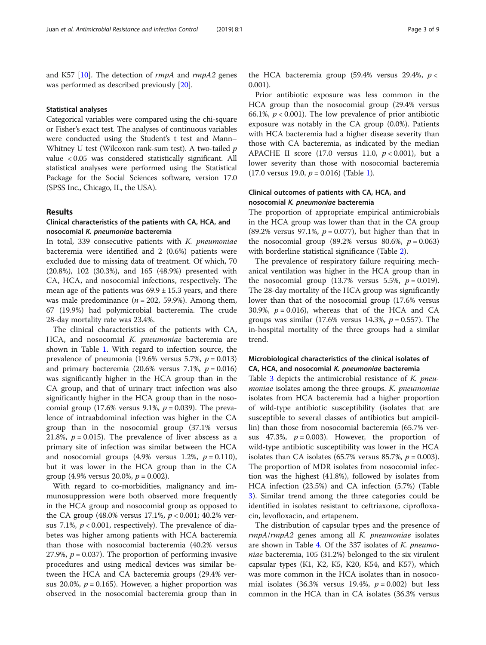and K57 [[10](#page-7-0)]. The detection of  $\mathit{rmpA}$  and  $\mathit{rmpA2}$  genes was performed as described previously [\[20\]](#page-7-0).

# Statistical analyses

Categorical variables were compared using the chi-square or Fisher's exact test. The analyses of continuous variables were conducted using the Student's t test and Mann– Whitney U test (Wilcoxon rank-sum test). A two-tailed  $p$ value < 0.05 was considered statistically significant. All statistical analyses were performed using the Statistical Package for the Social Sciences software, version 17.0 (SPSS Inc., Chicago, IL, the USA).

# Results

# Clinical characteristics of the patients with CA, HCA, and nosocomial K. pneumoniae bacteremia

In total, 339 consecutive patients with  $K$ . pneumoniae bacteremia were identified and 2 (0.6%) patients were excluded due to missing data of treatment. Of which, 70 (20.8%), 102 (30.3%), and 165 (48.9%) presented with CA, HCA, and nosocomial infections, respectively. The mean age of the patients was  $69.9 \pm 15.3$  years, and there was male predominance ( $n = 202, 59.9\%$ ). Among them, 67 (19.9%) had polymicrobial bacteremia. The crude 28-day mortality rate was 23.4%.

The clinical characteristics of the patients with CA, HCA, and nosocomial K. pneumoniae bacteremia are shown in Table [1.](#page-3-0) With regard to infection source, the prevalence of pneumonia (19.6% versus 5.7%,  $p = 0.013$ ) and primary bacteremia (20.6% versus 7.1%,  $p = 0.016$ ) was significantly higher in the HCA group than in the CA group, and that of urinary tract infection was also significantly higher in the HCA group than in the nosocomial group (17.6% versus 9.1%,  $p = 0.039$ ). The prevalence of intraabdominal infection was higher in the CA group than in the nosocomial group (37.1% versus 21.8%,  $p = 0.015$ ). The prevalence of liver abscess as a primary site of infection was similar between the HCA and nosocomial groups  $(4.9\% \text{ versus } 1.2\%, p = 0.110)$ , but it was lower in the HCA group than in the CA group (4.9% versus 20.0%,  $p = 0.002$ ).

With regard to co-morbidities, malignancy and immunosuppression were both observed more frequently in the HCA group and nosocomial group as opposed to the CA group (48.0% versus 17.1%,  $p < 0.001$ ; 40.2% versus 7.1%,  $p < 0.001$ , respectively). The prevalence of diabetes was higher among patients with HCA bacteremia than those with nosocomial bacteremia (40.2% versus 27.9%,  $p = 0.037$ ). The proportion of performing invasive procedures and using medical devices was similar between the HCA and CA bacteremia groups (29.4% versus 20.0%,  $p = 0.165$ ). However, a higher proportion was observed in the nosocomial bacteremia group than in

the HCA bacteremia group (59.4% versus 29.4%,  $p <$ 0.001).

Prior antibiotic exposure was less common in the HCA group than the nosocomial group (29.4% versus 66.1%,  $p < 0.001$ ). The low prevalence of prior antibiotic exposure was notably in the CA group (0.0%). Patients with HCA bacteremia had a higher disease severity than those with CA bacteremia, as indicated by the median APACHE II score (17.0 versus 11.0,  $p < 0.001$ ), but a lower severity than those with nosocomial bacteremia (17.0 versus 19.0,  $p = 0.016$ ) (Table [1\)](#page-3-0).

# Clinical outcomes of patients with CA, HCA, and nosocomial K. pneumoniae bacteremia

The proportion of appropriate empirical antimicrobials in the HCA group was lower than that in the CA group (89.2% versus 97.1%,  $p = 0.077$ ), but higher than that in the nosocomial group (89.2% versus 80.6%,  $p = 0.063$ ) with borderline statistical significance (Table [2](#page-4-0)).

The prevalence of respiratory failure requiring mechanical ventilation was higher in the HCA group than in the nosocomial group (13.7% versus 5.5%,  $p = 0.019$ ). The 28-day mortality of the HCA group was significantly lower than that of the nosocomial group (17.6% versus 30.9%,  $p = 0.016$ ), whereas that of the HCA and CA groups was similar (17.6% versus 14.3%,  $p = 0.557$ ). The in-hospital mortality of the three groups had a similar trend.

# Microbiological characteristics of the clinical isolates of CA, HCA, and nosocomial K. pneumoniae bacteremia

Table [3](#page-5-0) depicts the antimicrobial resistance of K. pneumoniae isolates among the three groups. *K. pneumoniae* isolates from HCA bacteremia had a higher proportion of wild-type antibiotic susceptibility (isolates that are susceptible to several classes of antibiotics but ampicillin) than those from nosocomial bacteremia (65.7% versus 47.3%,  $p = 0.003$ ). However, the proportion of wild-type antibiotic susceptibility was lower in the HCA isolates than CA isolates (65.7% versus 85.7%,  $p = 0.003$ ). The proportion of MDR isolates from nosocomial infection was the highest (41.8%), followed by isolates from HCA infection (23.5%) and CA infection (5.7%) (Table [3\)](#page-5-0). Similar trend among the three categories could be identified in isolates resistant to ceftriaxone, ciprofloxacin, levofloxacin, and ertapenem.

The distribution of capsular types and the presence of rmpA/rmpA2 genes among all K. pneumoniae isolates are shown in Table [4](#page-5-0). Of the 337 isolates of K. pneumoniae bacteremia, 105 (31.2%) belonged to the six virulent capsular types (K1, K2, K5, K20, K54, and K57), which was more common in the HCA isolates than in nosocomial isolates (36.3% versus 19.4%,  $p = 0.002$ ) but less common in the HCA than in CA isolates (36.3% versus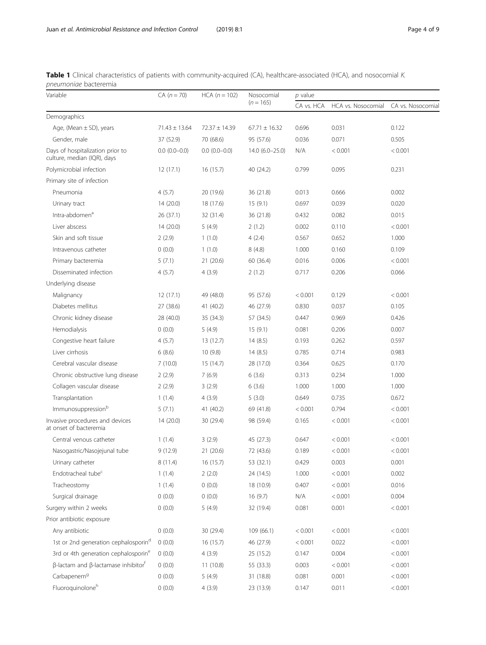<span id="page-3-0"></span>

| Table 1 Clinical characteristics of patients with community-acquired (CA), healthcare-associated (HCA), and nosocomial K. |  |  |
|---------------------------------------------------------------------------------------------------------------------------|--|--|
| <i>pneumoniae</i> bacteremia                                                                                              |  |  |

| Variable                                                        | $CA (n = 70)$     | $HCA (n = 102)$   | Nosocomial        | $p$ value  |                    |                   |  |
|-----------------------------------------------------------------|-------------------|-------------------|-------------------|------------|--------------------|-------------------|--|
|                                                                 |                   |                   | $(n = 165)$       | CA vs. HCA | HCA vs. Nosocomial | CA vs. Nosocomial |  |
| Demographics                                                    |                   |                   |                   |            |                    |                   |  |
| Age, (Mean $\pm$ SD), years                                     | $71.43 \pm 13.64$ | $72.37 \pm 14.39$ | $67.71 \pm 16.32$ | 0.696      | 0.031              | 0.122             |  |
| Gender, male                                                    | 37 (52.9)         | 70 (68.6)         | 95 (57.6)         | 0.036      | 0.071              | 0.505             |  |
| Days of hospitalization prior to<br>culture, median (IQR), days | $0.0(0.0-0.0)$    | $0.0(0.0-0.0)$    | $14.0(6.0-25.0)$  | N/A        | < 0.001            | < 0.001           |  |
| Polymicrobial infection                                         | 12(17.1)          | 16 (15.7)         | 40 (24.2)         | 0.799      | 0.095              | 0.231             |  |
| Primary site of infection                                       |                   |                   |                   |            |                    |                   |  |
| Pneumonia                                                       | 4(5.7)            | 20 (19.6)         | 36 (21.8)         | 0.013      | 0.666              | 0.002             |  |
| Urinary tract                                                   | 14(20.0)          | 18 (17.6)         | 15(9.1)           | 0.697      | 0.039              | 0.020             |  |
| Intra-abdomen <sup>a</sup>                                      | 26 (37.1)         | 32 (31.4)         | 36 (21.8)         | 0.432      | 0.082              | 0.015             |  |
| Liver abscess                                                   | 14 (20.0)         | 5(4.9)            | 2(1.2)            | 0.002      | 0.110              | < 0.001           |  |
| Skin and soft tissue                                            | 2(2.9)            | 1(1.0)            | 4(2.4)            | 0.567      | 0.652              | 1.000             |  |
| Intravenous catheter                                            | 0(0.0)            | 1(1.0)            | 8(4.8)            | 1.000      | 0.160              | 0.109             |  |
| Primary bacteremia                                              | 5(7.1)            | 21(20.6)          | 60 (36.4)         | 0.016      | 0.006              | < 0.001           |  |
| Disseminated infection                                          | 4(5.7)            | 4(3.9)            | 2(1.2)            | 0.717      | 0.206              | 0.066             |  |
| Underlying disease                                              |                   |                   |                   |            |                    |                   |  |
| Malignancy                                                      | 12(17.1)          | 49 (48.0)         | 95 (57.6)         | < 0.001    | 0.129              | < 0.001           |  |
| Diabetes mellitus                                               | 27 (38.6)         | 41 (40.2)         | 46 (27.9)         | 0.830      | 0.037              | 0.105             |  |
| Chronic kidney disease                                          | 28 (40.0)         | 35 (34.3)         | 57 (34.5)         | 0.447      | 0.969              | 0.426             |  |
| Hemodialysis                                                    | 0(0.0)            | 5(4.9)            | 15(9.1)           | 0.081      | 0.206              | 0.007             |  |
| Congestive heart failure                                        | 4(5.7)            | 13 (12.7)         | 14(8.5)           | 0.193      | 0.262              | 0.597             |  |
| Liver cirrhosis                                                 | 6(8.6)            | 10 (9.8)          | 14(8.5)           | 0.785      | 0.714              | 0.983             |  |
| Cerebral vascular disease                                       | 7(10.0)           | 15 (14.7)         | 28 (17.0)         | 0.364      | 0.625              | 0.170             |  |
| Chronic obstructive lung disease                                | 2(2.9)            | 7(6.9)            | 6(3.6)            | 0.313      | 0.234              | 1.000             |  |
| Collagen vascular disease                                       | 2(2.9)            | 3(2.9)            | 6(3.6)            | 1.000      | 1.000              | 1.000             |  |
| Transplantation                                                 | 1(1.4)            | 4(3.9)            | 5(3.0)            | 0.649      | 0.735              | 0.672             |  |
| Immunosuppressionb                                              | 5(7.1)            | 41 (40.2)         | 69 (41.8)         | < 0.001    | 0.794              | < 0.001           |  |
| Invasive procedures and devices<br>at onset of bacteremia       | 14(20.0)          | 30 (29.4)         | 98 (59.4)         | 0.165      | < 0.001            | < 0.001           |  |
| Central venous catheter                                         | 1(1.4)            | 3(2.9)            | 45 (27.3)         | 0.647      | < 0.001            | < 0.001           |  |
| Nasogastric/Nasojejunal tube                                    | 9(12.9)           | 21 (20.6)         | 72 (43.6)         | 0.189      | < 0.001            | < 0.001           |  |
| Urinary catheter                                                | 8(11.4)           | 16 (15.7)         | 53 (32.1)         | 0.429      | 0.003              | 0.001             |  |
| Endotracheal tube <sup>c</sup>                                  | 1(1.4)            | 2(2.0)            | 24 (14.5)         | 1.000      | < 0.001            | 0.002             |  |
| Tracheostomy                                                    | 1(1.4)            | 0(0.0)            | 18 (10.9)         | 0.407      | < 0.001            | 0.016             |  |
| Surgical drainage                                               | 0(0.0)            | 0(0.0)            | 16(9.7)           | N/A        | < 0.001            | 0.004             |  |
| Surgery within 2 weeks                                          | 0(0.0)            | 5(4.9)            | 32 (19.4)         | 0.081      | 0.001              | < 0.001           |  |
| Prior antibiotic exposure                                       |                   |                   |                   |            |                    |                   |  |
| Any antibiotic                                                  | 0(0.0)            | 30 (29.4)         | 109 (66.1)        | < 0.001    | < 0.001            | < 0.001           |  |
| 1st or 2nd generation cephalosporin <sup>d</sup>                | 0(0.0)            | 16 (15.7)         | 46 (27.9)         | < 0.001    | 0.022              | < 0.001           |  |
| 3rd or 4th generation cephalosporine                            | 0(0.0)            | 4(3.9)            | 25(15.2)          | 0.147      | 0.004              | < 0.001           |  |
| β-lactam and β-lactamase inhibitor <sup>f</sup>                 | 0(0.0)            | 11(10.8)          | 55 (33.3)         | 0.003      | < 0.001            | < 0.001           |  |
| Carbapenem <sup>9</sup>                                         | 0(0.0)            | 5(4.9)            | 31 (18.8)         | 0.081      | 0.001              | < 0.001           |  |
| Fluoroquinoloneh                                                | 0(0.0)            | 4(3.9)            | 23 (13.9)         | 0.147      | 0.011              | < 0.001           |  |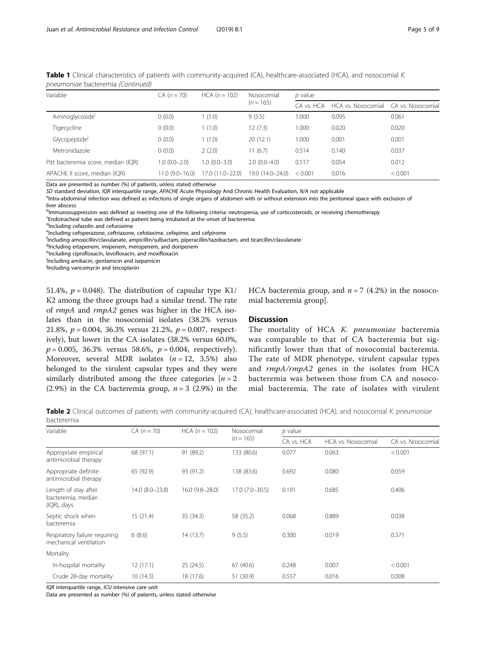| Variable                            | $CA (n = 70)$    | $HCA (n = 102)$  | Nosocomial<br>$(n = 165)$ | p value    |                    |                   |  |
|-------------------------------------|------------------|------------------|---------------------------|------------|--------------------|-------------------|--|
|                                     |                  |                  |                           | CA vs. HCA | HCA vs. Nosocomial | CA vs. Nosocomial |  |
| Aminoglycoside                      | 0(0.0)           | 1(1.0)           | 9(5.5)                    | 1.000      | 0.095              | 0.061             |  |
| Tigecycline                         | 0(0.0)           | 1(1.0)           | 12(7.3)                   | 1.000      | 0.020              | 0.020             |  |
| Glycopeptide                        | 0(0.0)           | 1(1.0)           | 20(12.1)                  | 1.000      | 0.001              | 0.001             |  |
| Metronidazole                       | 0(0.0)           | 2(2.0)           | 11(6.7)                   | 0.514      | 0.140              | 0.037             |  |
| Pitt bacteremia score, median (IQR) | $1.0(0.0-2.0)$   | $1.0(0.0 - 3.0)$ | $2.0(0.0-4.0)$            | 0.517      | 0.054              | 0.012             |  |
| APACHE II score, median (IQR)       | $11.0(9.0-16.0)$ | 17.0 (11.0-22.0) | 19.0 (14.0-24.0)          | < 0.001    | 0.016              | < 0.001           |  |

<span id="page-4-0"></span>Table 1 Clinical characteristics of patients with community-acquired (CA), healthcare-associated (HCA), and nosocomial K. pneumoniae bacteremia (Continued)

Data are presented as number (%) of patients, unless stated otherwise

SD standard deviation, IQR interquartile range, APACHE Acute Physiology And Chronic Health Evaluation, N/A not applicable

<sup>a</sup>Intra-abdominal infection was defined as infections of single organs of abdomen with or without extension into the peritoneal space with exclusion of liver abscess

<sup>b</sup>Immunosuppression was defined as meeting one of the following criteria: neutropenia, use of corticosteroids, or receiving chemotherapy

Endotracheal tube was defined as patient being intubated at the onset of bacteremia

d<br>Including cefazolin and cefuroxime

<sup>e</sup>Including cefoperazone, ceftriaxone, cefotaxime, cefepime, and cefpirome

f Including amoxicillin/clavulanate, ampicillin/sulbactam, piperacillin/tazobactam, and ticarcillin/clavulanate

<sup>g</sup>Including ertapenem, imipenem, meropenem, and doripenem

hIncluding ciprofloxacin, levofloxacin, and moxifloxacin

i Including amikacin, gentamicin and isepamicin

*i* Including vancomycin and teicoplanin

51.4%,  $p = 0.048$ ). The distribution of capsular type K1/ K2 among the three groups had a similar trend. The rate of rmpA and rmpA2 genes was higher in the HCA isolates than in the nosocomial isolates (38.2% versus 21.8%,  $p = 0.004$ , 36.3% versus 21.2%,  $p = 0.007$ , respectively), but lower in the CA isolates (38.2% versus 60.0%,  $p = 0.005$ , 36.3% versus 58.6%,  $p = 0.004$ , respectively). Moreover, several MDR isolates  $(n = 12, 3.5\%)$  also belonged to the virulent capsular types and they were similarly distributed among the three categories  $[n = 2]$ (2.9%) in the CA bacteremia group,  $n = 3$  (2.9%) in the HCA bacteremia group, and  $n = 7$  (4.2%) in the nosocomial bacteremia group].

# Discussion

The mortality of HCA K. pneumoniae bacteremia was comparable to that of CA bacteremia but significantly lower than that of nosocomial bacteremia. The rate of MDR phenotype, virulent capsular types and rmpA/rmpA2 genes in the isolates from HCA bacteremia was between those from CA and nosocomial bacteremia. The rate of isolates with virulent

Table 2 Clinical outcomes of patients with community-acquired (CA), healthcare-associated (HCA), and nosocomial K. pneumoniae bacteremia

| Variable                                                     | $CA (n = 70)$   | $HCA (n = 102)$  | Nosocomial         | $p$ value  |                    |                   |  |  |
|--------------------------------------------------------------|-----------------|------------------|--------------------|------------|--------------------|-------------------|--|--|
|                                                              |                 |                  | $(n = 165)$        | CA vs. HCA | HCA vs. Nosocomial | CA vs. Nosocomial |  |  |
| Appropriate empirical<br>antimicrobial therapy               | 68 (97.1)       | 91 (89.2)        | 133 (80.6)         | 0.077      | 0.063              | < 0.001           |  |  |
| Appropriate definite<br>antimicrobial therapy                | 65 (92.9)       | 93 (91.2)        | 138 (83.6)         | 0.692      | 0.080              | 0.059             |  |  |
| Length of stay after<br>bacteremia, median<br>$(IQR)$ , days | 14.0 (8.0-23.8) | $16.0(9.8-28.0)$ | $17.0(7.0 - 30.5)$ | 0.191      | 0.685              | 0.406             |  |  |
| Septic shock when<br>bacteremia                              | 15(21.4)        | 35(34.3)         | 58 (35.2)          | 0.068      | 0.889              | 0.038             |  |  |
| Respiratory failure requiring<br>mechanical ventilation      | 6(8.6)          | 14 (13.7)        | 9(5.5)             | 0.300      | 0.019              | 0.371             |  |  |
| Mortality                                                    |                 |                  |                    |            |                    |                   |  |  |
| In-hospital mortality                                        | 12(17.1)        | 25(24.5)         | 67(40.6)           | 0.248      | 0.007              | < 0.001           |  |  |
| Crude 28-day mortality                                       | 10(14.3)        | 18 (17.6)        | 51 (30.9)          | 0.557      | 0.016              | 0.008             |  |  |

IQR interquartile range, ICU intensive care unit

Data are presented as number (%) of patients, unless stated otherwise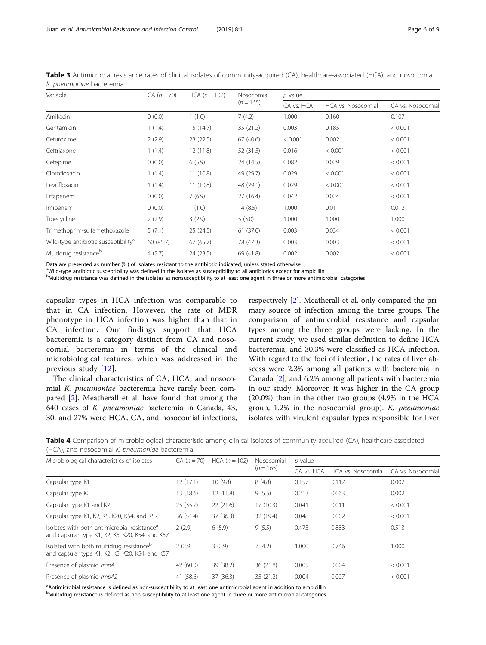| Variable                                         | $CA (n = 70)$ | $HCA (n = 102)$ | Nosocomial  | $p$ value  |                    |                   |  |
|--------------------------------------------------|---------------|-----------------|-------------|------------|--------------------|-------------------|--|
|                                                  |               |                 | $(n = 165)$ | CA vs. HCA | HCA vs. Nosocomial | CA vs. Nosocomial |  |
| Amikacin                                         | 0(0.0)        | 1(1.0)          | 7(4.2)      | 1.000      | 0.160              | 0.107             |  |
| Gentamicin                                       | 1(1.4)        | 15(14.7)        | 35 (21.2)   | 0.003      | 0.185              | < 0.001           |  |
| Cefuroxime                                       | 2(2.9)        | 23 (22.5)       | 67(40.6)    | < 0.001    | 0.002              | < 0.001           |  |
| Ceftriaxone                                      | 1(1.4)        | 12(11.8)        | 52 (31.5)   | 0.016      | < 0.001            | < 0.001           |  |
| Cefepime                                         | 0(0.0)        | 6(5.9)          | 24 (14.5)   | 0.082      | 0.029              | < 0.001           |  |
| Ciprofloxacin                                    | 1(1.4)        | 11(10.8)        | 49 (29.7)   | 0.029      | < 0.001            | < 0.001           |  |
| Levofloxacin                                     | 1(1.4)        | 11(10.8)        | 48 (29.1)   | 0.029      | < 0.001            | < 0.001           |  |
| Ertapenem                                        | 0(0.0)        | 7(6.9)          | 27(16.4)    | 0.042      | 0.024              | < 0.001           |  |
| Imipenem                                         | 0(0.0)        | 1(1.0)          | 14(8.5)     | 1.000      | 0.011              | 0.012             |  |
| Tigecycline                                      | 2(2.9)        | 3(2.9)          | 5(3.0)      | 1.000      | 1.000              | 1.000             |  |
| Trimethoprim-sulfamethoxazole                    | 5(7.1)        | 25 (24.5)       | 61(37.0)    | 0.003      | 0.034              | < 0.001           |  |
| Wild-type antibiotic susceptibility <sup>a</sup> | 60 (85.7)     | 67(65.7)        | 78 (47.3)   | 0.003      | 0.003              | < 0.001           |  |
| Multidrug resistance <sup>b</sup>                | 4(5.7)        | 24 (23.5)       | 69 (41.8)   | 0.002      | 0.002              | < 0.001           |  |

<span id="page-5-0"></span>Table 3 Antimicrobial resistance rates of clinical isolates of community-acquired (CA), healthcare-associated (HCA), and nosocomial K. pneumoniae bacteremia

Data are presented as number (%) of isolates resistant to the antibiotic indicated, unless stated otherwise

<sup>a</sup>Wild-type antibiotic susceptibility was defined in the isolates as susceptibility to all antibiotics except for ampicillin

bMultidrug resistance was defined in the isolates as nonsusceptibility to at least one agent in three or more antimicrobial categories

capsular types in HCA infection was comparable to that in CA infection. However, the rate of MDR phenotype in HCA infection was higher than that in CA infection. Our findings support that HCA bacteremia is a category distinct from CA and nosocomial bacteremia in terms of the clinical and microbiological features, which was addressed in the previous study [[12](#page-7-0)].

The clinical characteristics of CA, HCA, and nosocomial K. pneumoniae bacteremia have rarely been compared [[2\]](#page-7-0). Meatherall et al. have found that among the 640 cases of K. pneumoniae bacteremia in Canada, 43, 30, and 27% were HCA, CA, and nosocomial infections,

respectively [[2\]](#page-7-0). Meatherall et al. only compared the primary source of infection among the three groups. The comparison of antimicrobial resistance and capsular types among the three groups were lacking. In the current study, we used similar definition to define HCA bacteremia, and 30.3% were classified as HCA infection. With regard to the foci of infection, the rates of liver abscess were 2.3% among all patients with bacteremia in Canada [\[2](#page-7-0)], and 6.2% among all patients with bacteremia in our study. Moreover, it was higher in the CA group (20.0%) than in the other two groups (4.9% in the HCA group, 1.2% in the nosocomial group). K. pneumoniae isolates with virulent capsular types responsible for liver

Table 4 Comparison of microbiological characteristic among clinical isolates of community-acquired (CA), healthcare-associated (HCA), and nosocomial K. pneumoniae bacteremia

| Microbiological characteristics of isolates                                                                 | $CA (n = 70)$ | $HCA (n = 102)$ | Nosocomial<br>$(n = 165)$ | $p$ value  |                    |                  |
|-------------------------------------------------------------------------------------------------------------|---------------|-----------------|---------------------------|------------|--------------------|------------------|
|                                                                                                             |               |                 |                           | CA vs. HCA | HCA vs. Nosocomial | CA vs. Nosocomia |
| Capsular type K1                                                                                            | 12(17.1)      | 10(9.8)         | 8(4.8)                    | 0.157      | 0.117              | 0.002            |
| Capsular type K2                                                                                            | 13 (18.6)     | 12(11.8)        | 9(5.5)                    | 0.213      | 0.063              | 0.002            |
| Capsular type K1 and K2                                                                                     | 25(35.7)      | 22(21.6)        | 17(10.3)                  | 0.041      | 0.011              | < 0.001          |
| Capsular type K1, K2, K5, K20, K54, and K57                                                                 | 36(51.4)      | 37 (36.3)       | 32 (19.4)                 | 0.048      | 0.002              | < 0.001          |
| Isolates with both antimicrobial resistance <sup>a</sup><br>and capsular type K1, K2, K5, K20, K54, and K57 | 2(2.9)        | 6(5.9)          | 9(5.5)                    | 0.475      | 0.883              | 0.513            |
| Isolated with both multidrug resistance <sup>b</sup><br>and capsular type K1, K2, K5, K20, K54, and K57     | 2(2.9)        | 3(2.9)          | 7(4.2)                    | 1.000      | 0.746              | 1.000            |
| Presence of plasmid rmpA                                                                                    | 42(60.0)      | 39 (38.2)       | 36 (21.8)                 | 0.005      | 0.004              | < 0.001          |
| Presence of plasmid rmpA2                                                                                   | 41 (58.6)     | 37 (36.3)       | 35(21.2)                  | 0.004      | 0.007              | < 0.001          |

<sup>a</sup> Antimicrobial resistance is defined as non-susceptibility to at least one antimicrobial agent in addition to ampicillin

b<br>Multidrug resistance is defined as non-susceptibility to at least one agent in three or more antimicrobial categories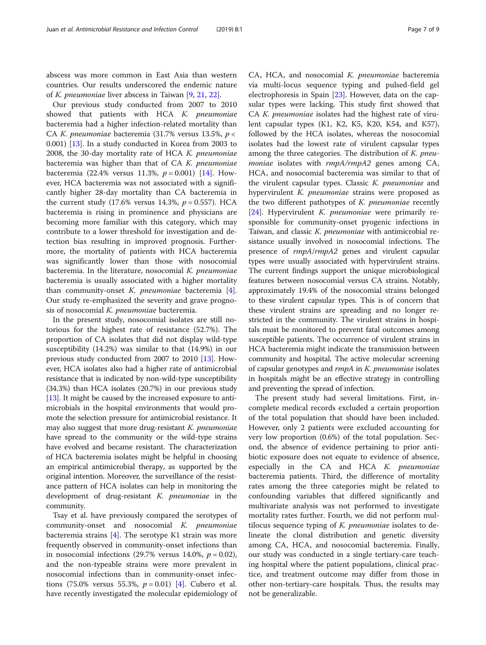abscess was more common in East Asia than western countries. Our results underscored the endemic nature of K. pneumoniae liver abscess in Taiwan [\[9](#page-7-0), [21](#page-7-0), [22](#page-8-0)].

Our previous study conducted from 2007 to 2010 showed that patients with HCA K. pneumoniae bacteremia had a higher infection-related mortality than CA K. pneumoniae bacteremia (31.7% versus 13.5%,  $p <$ 0.001) [\[13\]](#page-7-0). In a study conducted in Korea from 2003 to 2008, the 30-day mortality rate of HCA K. pneumoniae bacteremia was higher than that of CA K. pneumoniae bacteremia (22.4% versus 11.3%,  $p = 0.001$ ) [\[14](#page-7-0)]. However, HCA bacteremia was not associated with a significantly higher 28-day mortality than CA bacteremia in the current study (17.6% versus 14.3%,  $p = 0.557$ ). HCA bacteremia is rising in prominence and physicians are becoming more familiar with this category, which may contribute to a lower threshold for investigation and detection bias resulting in improved prognosis. Furthermore, the mortality of patients with HCA bacteremia was significantly lower than those with nosocomial bacteremia. In the literature, nosocomial K. pneumoniae bacteremia is usually associated with a higher mortality than community-onset  $K$ . *pneumoniae* bacteremia [\[4](#page-7-0)]. Our study re-emphasized the severity and grave prognosis of nosocomial K. pneumoniae bacteremia.

In the present study, nosocomial isolates are still notorious for the highest rate of resistance (52.7%). The proportion of CA isolates that did not display wild-type susceptibility (14.2%) was similar to that (14.9%) in our previous study conducted from 2007 to 2010 [\[13\]](#page-7-0). However, HCA isolates also had a higher rate of antimicrobial resistance that is indicated by non-wild-type susceptibility (34.3%) than HCA isolates (20.7%) in our previous study [[13](#page-7-0)]. It might be caused by the increased exposure to antimicrobials in the hospital environments that would promote the selection pressure for antimicrobial resistance. It may also suggest that more drug-resistant K. pneumoniae have spread to the community or the wild-type strains have evolved and became resistant. The characterization of HCA bacteremia isolates might be helpful in choosing an empirical antimicrobial therapy, as supported by the original intention. Moreover, the surveillance of the resistance pattern of HCA isolates can help in monitoring the development of drug-resistant K. pneumoniae in the community.

Tsay et al. have previously compared the serotypes of community-onset and nosocomial K. pneumoniae bacteremia strains  $[4]$  $[4]$ . The serotype K1 strain was more frequently observed in community-onset infections than in nosocomial infections (29.7% versus 14.0%,  $p = 0.02$ ), and the non-typeable strains were more prevalent in nosocomial infections than in community-onset infections (75.0% versus 55.3%,  $p = 0.01$ ) [\[4](#page-7-0)]. Cubero et al. have recently investigated the molecular epidemiology of

CA, HCA, and nosocomial K. pneumoniae bacteremia via multi-locus sequence typing and pulsed-field gel electrophoresis in Spain [\[23](#page-8-0)]. However, data on the capsular types were lacking. This study first showed that CA K. pneumoniae isolates had the highest rate of virulent capsular types (K1, K2, K5, K20, K54, and K57), followed by the HCA isolates, whereas the nosocomial isolates had the lowest rate of virulent capsular types among the three categories. The distribution of K. pneumoniae isolates with rmpA/rmpA2 genes among CA, HCA, and nosocomial bacteremia was similar to that of the virulent capsular types. Classic K. pneumoniae and hypervirulent *K. pneumoniae* strains were proposed as the two different pathotypes of K. pneumoniae recently [[24\]](#page-8-0). Hypervirulent *K. pneumoniae* were primarily responsible for community-onset pyogenic infections in Taiwan, and classic K. pneumoniae with antimicrobial resistance usually involved in nosocomial infections. The presence of rmpA/rmpA2 genes and virulent capsular types were usually associated with hypervirulent strains. The current findings support the unique microbiological features between nosocomial versus CA strains. Notably, approximately 19.4% of the nosocomial strains belonged to these virulent capsular types. This is of concern that these virulent strains are spreading and no longer restricted in the community. The virulent strains in hospitals must be monitored to prevent fatal outcomes among susceptible patients. The occurrence of virulent strains in HCA bacteremia might indicate the transmission between community and hospital. The active molecular screening of capsular genotypes and rmpA in K. pneumoniae isolates in hospitals might be an effective strategy in controlling and preventing the spread of infection.

The present study had several limitations. First, incomplete medical records excluded a certain proportion of the total population that should have been included. However, only 2 patients were excluded accounting for very low proportion (0.6%) of the total population. Second, the absence of evidence pertaining to prior antibiotic exposure does not equate to evidence of absence, especially in the CA and HCA K. pneumoniae bacteremia patients. Third, the difference of mortality rates among the three categories might be related to confounding variables that differed significantly and multivariate analysis was not performed to investigate mortality rates further. Fourth, we did not perform multilocus sequence typing of K. pneumoniae isolates to delineate the clonal distribution and genetic diversity among CA, HCA, and nosocomial bacteremia. Finally, our study was conducted in a single tertiary-care teaching hospital where the patient populations, clinical practice, and treatment outcome may differ from those in other non-tertiary-care hospitals. Thus, the results may not be generalizable.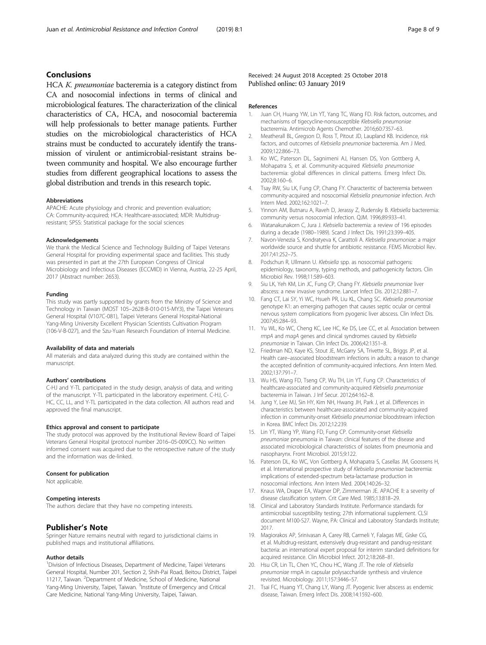# <span id="page-7-0"></span>Conclusions

HCA K. pneumoniae bacteremia is a category distinct from CA and nosocomial infections in terms of clinical and microbiological features. The characterization of the clinical characteristics of CA, HCA, and nosocomial bacteremia will help professionals to better manage patients. Further studies on the microbiological characteristics of HCA strains must be conducted to accurately identify the transmission of virulent or antimicrobial-resistant strains between community and hospital. We also encourage further studies from different geographical locations to assess the global distribution and trends in this research topic.

#### Abbreviations

APACHE: Acute physiology and chronic and prevention evaluation; CA: Community-acquired; HCA: Healthcare-associated; MDR: Multidrugresistant; SPSS: Statistical package for the social sciences

#### Acknowledgements

We thank the Medical Science and Technology Building of Taipei Veterans General Hospital for providing experimental space and facilities. This study was presented in part at the 27th European Congress of Clinical Microbiology and Infectious Diseases (ECCMID) in Vienna, Austria, 22-25 April, 2017 (Abstract number: 2653).

### Funding

This study was partly supported by grants from the Ministry of Science and Technology in Taiwan (MOST 105–2628-B-010-015-MY3), the Taipei Veterans General Hospital (V107C-081), Taipei Veterans General Hospital-National Yang-Ming University Excellent Physician Scientists Cultivation Program (106-V-B-027), and the Szu-Yuan Research Foundation of Internal Medicine.

#### Availability of data and materials

All materials and data analyzed during this study are contained within the manuscript.

#### Authors' contributions

C-HJ and Y-TL participated in the study design, analysis of data, and writing of the manuscript. Y-TL participated in the laboratory experiment. C-HJ, C-HC, CC, LL, and Y-TL participated in the data collection. All authors read and approved the final manuscript.

#### Ethics approval and consent to participate

The study protocol was approved by the Institutional Review Board of Taipei Veterans General Hospital (protocol number 2016–05-009CC). No written informed consent was acquired due to the retrospective nature of the study and the information was de-linked.

#### Consent for publication

Not applicable.

#### Competing interests

The authors declare that they have no competing interests.

# Publisher's Note

Springer Nature remains neutral with regard to jurisdictional claims in published maps and institutional affiliations.

#### Author details

<sup>1</sup> Division of Infectious Diseases, Department of Medicine, Taipei Veterans General Hospital, Number 201, Section 2, Shih-Pai Road, Beitou District, Taipei 11217, Taiwan. <sup>2</sup>Department of Medicine, School of Medicine, National Yang-Ming University, Taipei, Taiwan. <sup>3</sup>Institute of Emergency and Critical Care Medicine, National Yang-Ming University, Taipei, Taiwan.

Received: 24 August 2018 Accepted: 25 October 2018 Published online: 03 January 2019

#### References

- 1. Juan CH, Huang YW, Lin YT, Yang TC, Wang FD. Risk factors, outcomes, and mechanisms of tigecycline-nonsusceptible Klebsiella pneumoniae bacteremia. Antimicrob Agents Chemother. 2016;60:7357–63.
- 2. Meatherall BL, Gregson D, Ross T, Pitout JD, Laupland KB, Incidence, risk factors, and outcomes of Klebsiella pneumoniae bacteremia. Am J Med. 2009;122:866–73.
- Ko WC, Paterson DL, Sagnimeni AJ, Hansen DS, Von Gottberg A, Mohapatra S, et al. Community-acquired Klebsiella pneumoniae bacteremia: global differences in clinical patterns. Emerg Infect Dis. 2002;8:160–6.
- 4. Tsay RW, Siu LK, Fung CP, Chang FY. Characteritic of bacteremia between community-acquired and nosocomial Klebsiella pneumoniae infection. Arch Intern Med. 2002;162:1021–7.
- Yinnon AM, Butnaru A, Raveh D, Jerassy Z, Rudensky B. Klebsiella bacteremia: community versus nosocomial infection. QJM. 1996;89:933–41.
- 6. Watanakunakorn C, Jura J. Klebsiella bacteremia: a review of 196 episodes during a decade (1980–1989). Scand J Infect Dis. 1991;23:399–405.
- 7. Navon-Venezia S, Kondratyeva K, Carattoli A. Klebsiella pneumoniae: a major worldwide source and shuttle for antibiotic resistance. FEMS Microbiol Rev. 2017;41:252–75.
- Podschun R, Ullmann U. Klebsiella spp. as nosocomial pathogens: epidemiology, taxonomy, typing methods, and pathogenicity factors. Clin Microbiol Rev. 1998;11:589–603.
- 9. Siu LK, Yeh KM, Lin JC, Fung CP, Chang FY. Klebsiella pneumoniae liver abscess: a new invasive syndrome. Lancet Infect Dis. 2012;12:881–7.
- 10. Fang CT, Lai SY, Yi WC, Hsueh PR, Liu KL, Chang SC. Klebsiella pneumoniae genotype K1: an emerging pathogen that causes septic ocular or central nervous system complications from pyogenic liver abscess. Clin Infect Dis. 2007;45:284–93.
- 11. Yu WL, Ko WC, Cheng KC, Lee HC, Ke DS, Lee CC, et al. Association between rmpA and magA genes and clinical syndromes caused by Klebsiella pneumoniae in Taiwan. Clin Infect Dis. 2006;42:1351–8.
- 12. Friedman ND, Kaye KS, Stout JE, McGarry SA, Trivette SL, Briggs JP, et al. Health care–associated bloodstream infections in adults: a reason to change the accepted definition of community-acquired infections. Ann Intern Med. 2002;137:791–7.
- 13. Wu HS, Wang FD, Tseng CP, Wu TH, Lin YT, Fung CP. Characteristics of healthcare-associated and community-acquired Klebsiella pneumoniae bacteremia in Taiwan. J Inf Secur. 2012;64:162–8.
- 14. Jung Y, Lee MJ, Sin HY, Kim NH, Hwang JH, Park J, et al. Differences in characteristics between healthcare-associated and community-acquired infection in community-onset Klebsiella pneumoniae bloodstream infection in Korea. BMC Infect Dis. 2012;12:239.
- 15. Lin YT, Wang YP, Wang FD, Fung CP. Community-onset Klebsiella pneumoniae pneumonia in Taiwan: clinical features of the disease and associated microbiological characteristics of isolates from pneumonia and nasopharynx. Front Microbiol. 2015;9:122.
- 16. Paterson DL, Ko WC, Von Gottberg A, Mohapatra S, Casellas JM, Goossens H, et al. International prospective study of Klebsiella pneumoniae bacteremia: implications of extended-spectrum beta-lactamase production in nosocomial infections. Ann Intern Med. 2004;140:26–32.
- 17. Knaus WA, Draper EA, Wagner DP, Zimmerman JE. APACHE II: a severity of disease classification system. Crit Care Med. 1985;13:818–29.
- 18. Clinical and Laboratory Standards Institute. Performance standards for antimicrobial susceptibility testing; 27th informational supplement. CLSI document M100-S27. Wayne, PA: Clinical and Laboratory Standards Institute; 2017.
- 19. Magiorakos AP, Srinivasan A, Carey RB, Carmeli Y, Falagas ME, Giske CG, et al. Multidrug-resistant, extensively drug-resistant and pandrug-resistant bacteria: an international expert proposal for interim standard definitions for acquired resistance. Clin Microbiol Infect. 2012;18:268–81.
- 20. Hsu CR, Lin TL, Chen YC, Chou HC, Wang JT. The role of Klebsiella pneumoniae rmpA in capsular polysaccharide synthesis and virulence revisited. Microbiology. 2011;157:3446–57.
- 21. Tsai FC, Huang YT, Chang LY, Wang JT. Pyogenic liver abscess as endemic disease, Taiwan. Emerg Infect Dis. 2008;14:1592–600.